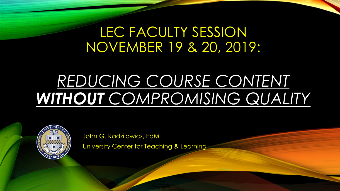## LEC FACULTY SESSION NOVEMBER 19 & 20, 2019:

# *REDUCING COURSE CONTENT WITHOUT COMPROMISING QUALITY*



John G. Radzilowicz, EdM University Center for Teaching & Learning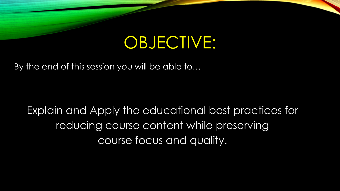# OBJECTIVE:

By the end of this session you will be able to…

Explain and Apply the educational best practices for reducing course content while preserving course focus and quality.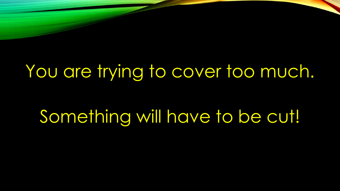# You are trying to cover too much.

Something will have to be cut!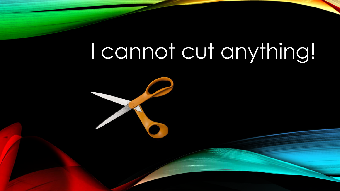# I cannot cut anything!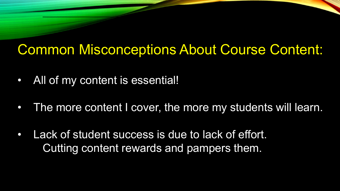## Common Misconceptions About Course Content:

- All of my content is essential!
- The more content I cover, the more my students will learn.
- Lack of student success is due to lack of effort. Cutting content rewards and pampers them.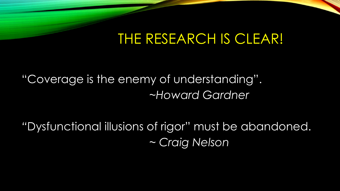## THE RESEARCH IS CLEAR!

"Coverage is the enemy of understanding". *~Howard Gardner*

*"*Dysfunctional illusions of rigor" must be abandoned. *~ Craig Nelson*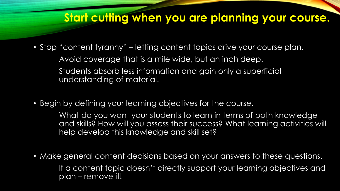#### **Start cutting when you are planning your course.**

- Stop "content tyranny" letting content topics drive your course plan. Avoid coverage that is a mile wide, but an inch deep. Students absorb less information and gain only a superficial understanding of material.
- Begin by defining your learning objectives for the course.

What do you want your students to learn in terms of both knowledge and skills? How will you assess their success? What learning activities will help develop this knowledge and skill set?

• Make general content decisions based on your answers to these questions. If a content topic doesn't directly support your learning objectives and plan – remove it!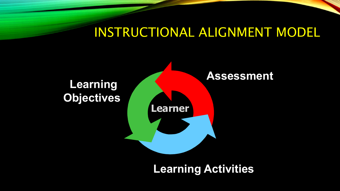#### INSTRUCTIONAL ALIGNMENT MODEL



**Learning Activities**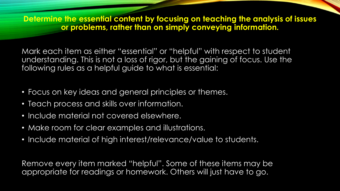**Determine the essential content by focusing on teaching the analysis of issues or problems, rather than on simply conveying information.**

Mark each item as either "essential" or "helpful" with respect to student understanding. This is not a loss of rigor, but the gaining of focus. Use the following rules as a helpful guide to what is essential:

- Focus on key ideas and general principles or themes.
- Teach process and skills over information.
- Include material not covered elsewhere.
- Make room for clear examples and illustrations.
- Include material of high interest/relevance/value to students.

Remove every item marked "helpful". Some of these items may be appropriate for readings or homework. Others will just have to go.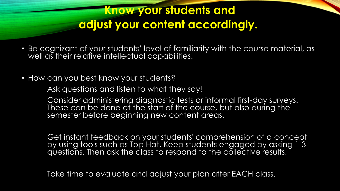#### **Know your students and adjust your content accordingly.**

- Be cognizant of your students' level of familiarity with the course material, as well as their relative intellectual capabilities.
- How can you best know your students?

Ask questions and listen to what they say!

Consider administering diagnostic tests or informal first-day surveys. These can be done at the start of the course, but also during the semester before beginning new content areas.

Get instant feedback on your students' comprehension of a concept by using tools such as Top Hat. Keep students engaged by asking 1-3 questions. Then ask the class to respond to the collective results.

Take time to evaluate and adjust your plan after EACH class.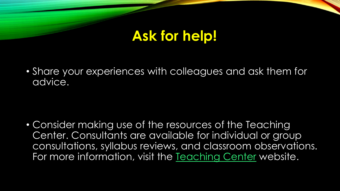## **Ask for help!**

• Share your experiences with colleagues and ask them for advice.

• Consider making use of the resources of the Teaching Center. Consultants are available for individual or group consultations, syllabus reviews, and classroom observations. For more information, visit the [Teaching Center](http://www.teaching.pitt.edu/) website.